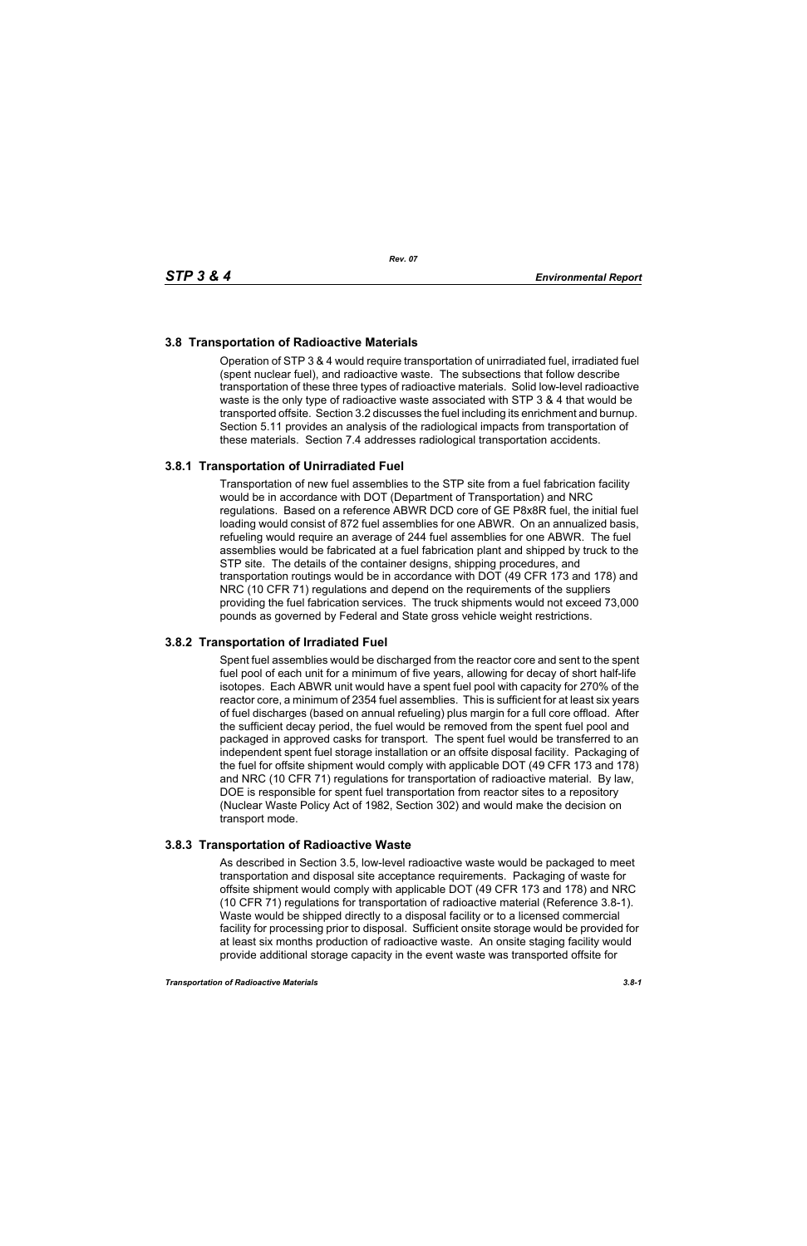# **3.8 Transportation of Radioactive Materials**

Operation of STP 3 & 4 would require transportation of unirradiated fuel, irradiated fuel (spent nuclear fuel), and radioactive waste. The subsections that follow describe transportation of these three types of radioactive materials. Solid low-level radioactive waste is the only type of radioactive waste associated with STP 3 & 4 that would be transported offsite. Section 3.2 discusses the fuel including its enrichment and burnup. Section 5.11 provides an analysis of the radiological impacts from transportation of these materials. Section 7.4 addresses radiological transportation accidents.

## **3.8.1 Transportation of Unirradiated Fuel**

Transportation of new fuel assemblies to the STP site from a fuel fabrication facility would be in accordance with DOT (Department of Transportation) and NRC regulations. Based on a reference ABWR DCD core of GE P8x8R fuel, the initial fuel loading would consist of 872 fuel assemblies for one ABWR. On an annualized basis, refueling would require an average of 244 fuel assemblies for one ABWR. The fuel assemblies would be fabricated at a fuel fabrication plant and shipped by truck to the STP site. The details of the container designs, shipping procedures, and transportation routings would be in accordance with DOT (49 CFR 173 and 178) and NRC (10 CFR 71) regulations and depend on the requirements of the suppliers providing the fuel fabrication services. The truck shipments would not exceed 73,000 pounds as governed by Federal and State gross vehicle weight restrictions.

## **3.8.2 Transportation of Irradiated Fuel**

Spent fuel assemblies would be discharged from the reactor core and sent to the spent fuel pool of each unit for a minimum of five years, allowing for decay of short half-life isotopes. Each ABWR unit would have a spent fuel pool with capacity for 270% of the reactor core, a minimum of 2354 fuel assemblies. This is sufficient for at least six years of fuel discharges (based on annual refueling) plus margin for a full core offload. After the sufficient decay period, the fuel would be removed from the spent fuel pool and packaged in approved casks for transport. The spent fuel would be transferred to an independent spent fuel storage installation or an offsite disposal facility. Packaging of the fuel for offsite shipment would comply with applicable DOT (49 CFR 173 and 178) and NRC (10 CFR 71) regulations for transportation of radioactive material. By law, DOE is responsible for spent fuel transportation from reactor sites to a repository (Nuclear Waste Policy Act of 1982, Section 302) and would make the decision on transport mode.

## **3.8.3 Transportation of Radioactive Waste**

As described in Section 3.5, low-level radioactive waste would be packaged to meet transportation and disposal site acceptance requirements. Packaging of waste for offsite shipment would comply with applicable DOT (49 CFR 173 and 178) and NRC (10 CFR 71) regulations for transportation of radioactive material (Reference 3.8-1). Waste would be shipped directly to a disposal facility or to a licensed commercial facility for processing prior to disposal. Sufficient onsite storage would be provided for at least six months production of radioactive waste. An onsite staging facility would provide additional storage capacity in the event waste was transported offsite for